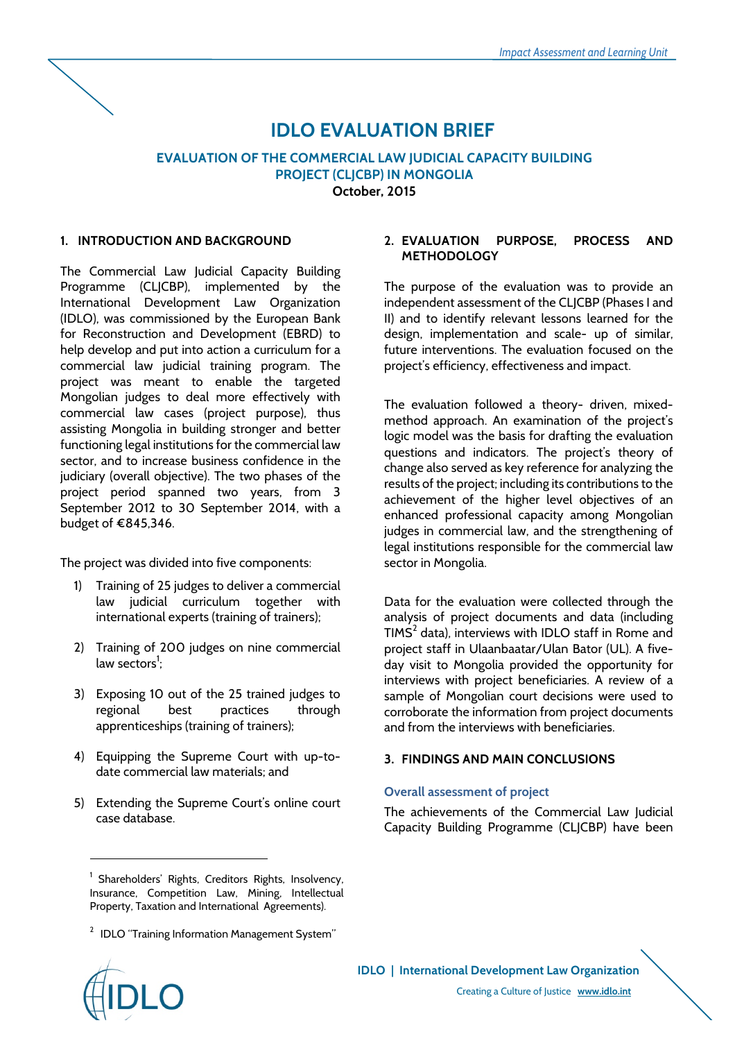# **IDLO EVALUATION BRIEF**

# **EVALUATION OF THE COMMERCIAL LAW JUDICIAL CAPACITY BUILDING PROJECT (CLJCBP) IN MONGOLIA October, 2015**

# **1. INTRODUCTION AND BACKGROUND**

The Commercial Law Judicial Capacity Building Programme (CLJCBP), implemented by the International Development Law Organization (IDLO), was commissioned by the European Bank for Reconstruction and Development (EBRD) to help develop and put into action a curriculum for a commercial law judicial training program. The project was meant to enable the targeted Mongolian judges to deal more effectively with commercial law cases (project purpose), thus assisting Mongolia in building stronger and better functioning legal institutions for the commercial law sector, and to increase business confidence in the judiciary (overall objective). The two phases of the project period spanned two years, from 3 September 2012 to 30 September 2014, with a budget of €845,346.

The project was divided into five components:

- 1) Training of 25 judges to deliver a commercial law judicial curriculum together with international experts (training of trainers);
- 2) Training of 200 judges on nine commercial law sectors<sup>1</sup>;
- 3) Exposing 10 out of the 25 trained judges to regional best practices through apprenticeships (training of trainers);
- 4) Equipping the Supreme Court with up-todate commercial law materials; and
- 5) Extending the Supreme Court's online court case database.

# **2. EVALUATION PURPOSE, PROCESS AND METHODOLOGY**

The purpose of the evaluation was to provide an independent assessment of the CLJCBP (Phases I and II) and to identify relevant lessons learned for the design, implementation and scale- up of similar, future interventions. The evaluation focused on the project's efficiency, effectiveness and impact.

The evaluation followed a theory- driven, mixedmethod approach. An examination of the project's logic model was the basis for drafting the evaluation questions and indicators. The project's theory of change also served as key reference for analyzing the results of the project; including its contributions to the achievement of the higher level objectives of an enhanced professional capacity among Mongolian judges in commercial law, and the strengthening of legal institutions responsible for the commercial law sector in Mongolia.

Data for the evaluation were collected through the analysis of project documents and data (including  $TIMS<sup>2</sup> data$ ), interviews with IDLO staff in Rome and project staff in Ulaanbaatar/Ulan Bator (UL). A fiveday visit to Mongolia provided the opportunity for interviews with project beneficiaries. A review of a sample of Mongolian court decisions were used to corroborate the information from project documents and from the interviews with beneficiaries.

# **3. FINDINGS AND MAIN CONCLUSIONS**

# **Overall assessment of project**

The achievements of the Commercial Law Judicial Capacity Building Programme (CLJCBP) have been

 $2$  IDLO "Training Information Management System"



 $\overline{a}$ 

<sup>1</sup> Shareholders' Rights, Creditors Rights, Insolvency, Insurance, Competition Law, Mining, Intellectual Property, Taxation and International Agreements).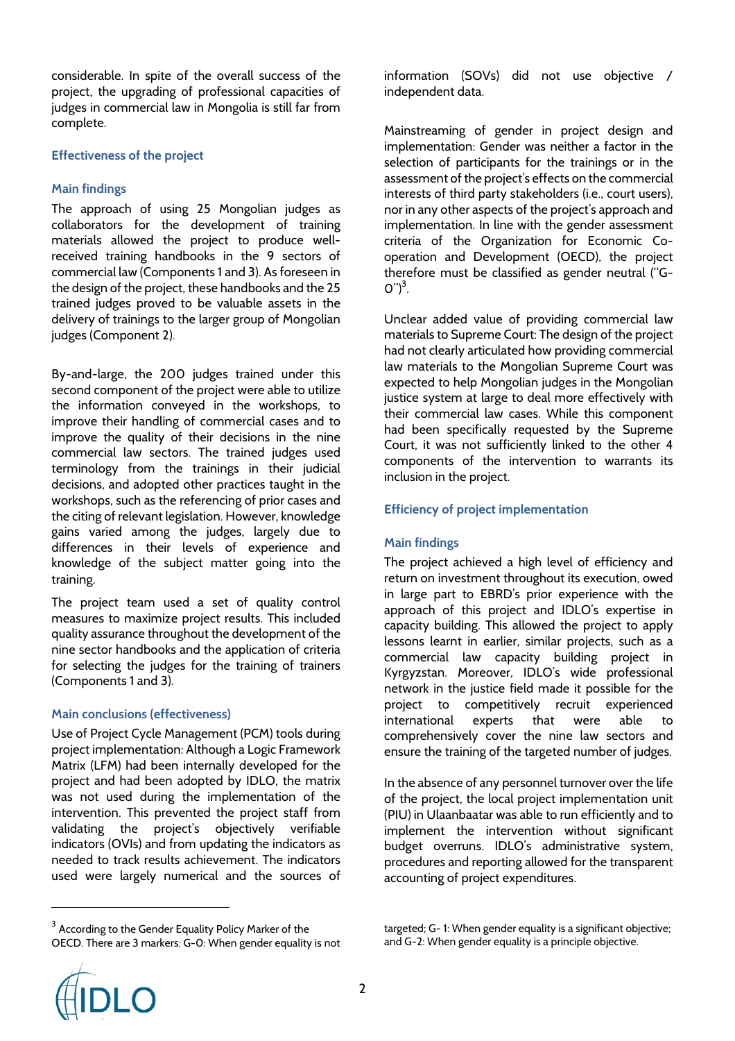considerable. In spite of the overall success of the project, the upgrading of professional capacities of judges in commercial law in Mongolia is still far from complete.

# **Effectiveness of the project**

# **Main findings**

The approach of using 25 Mongolian judges as collaborators for the development of training materials allowed the project to produce wellreceived training handbooks in the 9 sectors of commercial law (Components 1 and 3). As foreseen in the design of the project, these handbooks and the 25 trained judges proved to be valuable assets in the delivery of trainings to the larger group of Mongolian judges (Component 2).

By-and-large, the 200 judges trained under this second component of the project were able to utilize the information conveyed in the workshops, to improve their handling of commercial cases and to improve the quality of their decisions in the nine commercial law sectors. The trained judges used terminology from the trainings in their judicial decisions, and adopted other practices taught in the workshops, such as the referencing of prior cases and the citing of relevant legislation. However, knowledge gains varied among the judges, largely due to differences in their levels of experience and knowledge of the subject matter going into the training.

The project team used a set of quality control measures to maximize project results. This included quality assurance throughout the development of the nine sector handbooks and the application of criteria for selecting the judges for the training of trainers (Components 1 and 3).

#### **Main conclusions (effectiveness)**

Use of Project Cycle Management (PCM) tools during project implementation: Although a Logic Framework Matrix (LFM) had been internally developed for the project and had been adopted by IDLO, the matrix was not used during the implementation of the intervention. This prevented the project staff from validating the project's objectively verifiable indicators (OVIs) and from updating the indicators as needed to track results achievement. The indicators used were largely numerical and the sources of

<sup>3</sup> According to the Gender Equality Policy Marker of the OECD. There are 3 markers: G-0: When gender equality is not information (SOVs) did not use objective / independent data.

Mainstreaming of gender in project design and implementation: Gender was neither a factor in the selection of participants for the trainings or in the assessment of the project's effects on the commercial interests of third party stakeholders (i.e., court users), nor in any other aspects of the project's approach and implementation. In line with the gender assessment criteria of the Organization for Economic Cooperation and Development (OECD), the project therefore must be classified as gender neutral ("G- $O'$ <sup>3</sup>.

Unclear added value of providing commercial law materials to Supreme Court: The design of the project had not clearly articulated how providing commercial law materials to the Mongolian Supreme Court was expected to help Mongolian judges in the Mongolian justice system at large to deal more effectively with their commercial law cases. While this component had been specifically requested by the Supreme Court, it was not sufficiently linked to the other 4 components of the intervention to warrants its inclusion in the project.

# **Efficiency of project implementation**

# **Main findings**

The project achieved a high level of efficiency and return on investment throughout its execution, owed in large part to EBRD's prior experience with the approach of this project and IDLO's expertise in capacity building. This allowed the project to apply lessons learnt in earlier, similar projects, such as a commercial law capacity building project in Kyrgyzstan. Moreover, IDLO's wide professional network in the justice field made it possible for the project to competitively recruit experienced international experts that were able to comprehensively cover the nine law sectors and ensure the training of the targeted number of judges.

In the absence of any personnel turnover over the life of the project, the local project implementation unit (PIU) in Ulaanbaatar was able to run efficiently and to implement the intervention without significant budget overruns. IDLO's administrative system, procedures and reporting allowed for the transparent accounting of project expenditures.



 $\overline{a}$ 

targeted; G- 1: When gender equality is a significant objective; and G-2: When gender equality is a principle objective.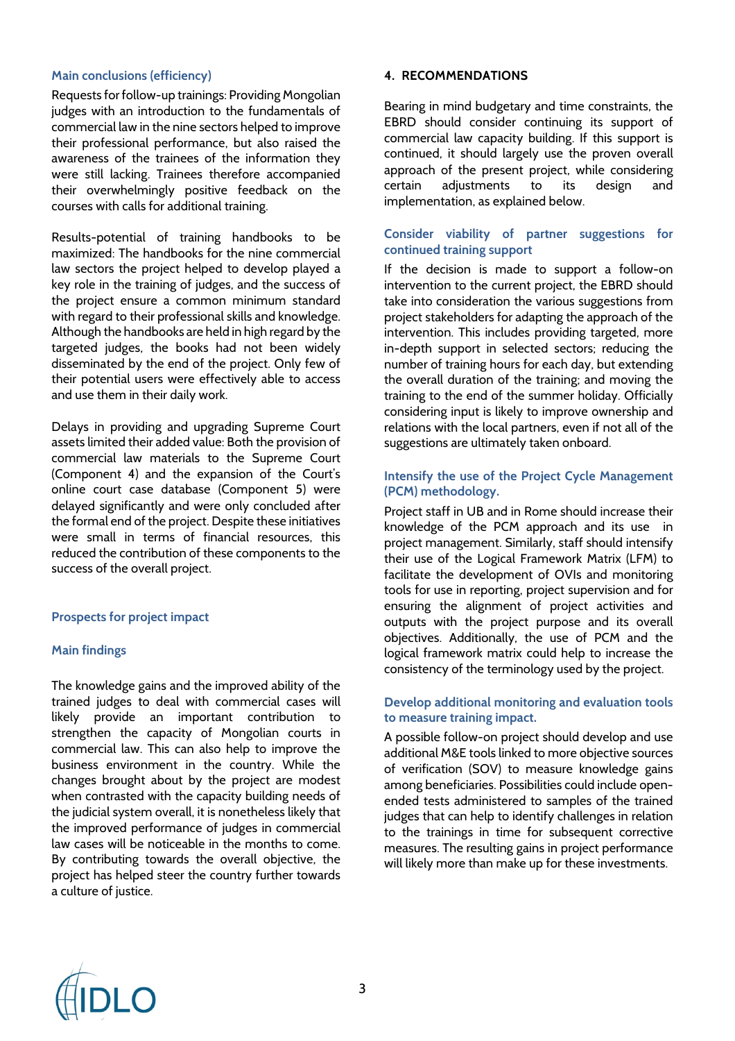#### **Main conclusions (efficiency)**

Requests for follow-up trainings: Providing Mongolian judges with an introduction to the fundamentals of commercial law in the nine sectors helped to improve their professional performance, but also raised the awareness of the trainees of the information they were still lacking. Trainees therefore accompanied their overwhelmingly positive feedback on the courses with calls for additional training.

Results-potential of training handbooks to be maximized: The handbooks for the nine commercial law sectors the project helped to develop played a key role in the training of judges, and the success of the project ensure a common minimum standard with regard to their professional skills and knowledge. Although the handbooks are held in high regard by the targeted judges, the books had not been widely disseminated by the end of the project. Only few of their potential users were effectively able to access and use them in their daily work.

Delays in providing and upgrading Supreme Court assets limited their added value: Both the provision of commercial law materials to the Supreme Court (Component 4) and the expansion of the Court's online court case database (Component 5) were delayed significantly and were only concluded after the formal end of the project. Despite these initiatives were small in terms of financial resources, this reduced the contribution of these components to the success of the overall project.

#### **Prospects for project impact**

#### **Main findings**

The knowledge gains and the improved ability of the trained judges to deal with commercial cases will likely provide an important contribution to strengthen the capacity of Mongolian courts in commercial law. This can also help to improve the business environment in the country. While the changes brought about by the project are modest when contrasted with the capacity building needs of the judicial system overall, it is nonetheless likely that the improved performance of judges in commercial law cases will be noticeable in the months to come. By contributing towards the overall objective, the project has helped steer the country further towards a culture of justice.

#### **4. RECOMMENDATIONS**

Bearing in mind budgetary and time constraints, the EBRD should consider continuing its support of commercial law capacity building. If this support is continued, it should largely use the proven overall approach of the present project, while considering certain adjustments to its design and implementation, as explained below.

#### **Consider viability of partner suggestions for continued training support**

If the decision is made to support a follow-on intervention to the current project, the EBRD should take into consideration the various suggestions from project stakeholders for adapting the approach of the intervention. This includes providing targeted, more in-depth support in selected sectors; reducing the number of training hours for each day, but extending the overall duration of the training; and moving the training to the end of the summer holiday. Officially considering input is likely to improve ownership and relations with the local partners, even if not all of the suggestions are ultimately taken onboard.

### **Intensify the use of the Project Cycle Management (PCM) methodology.**

Project staff in UB and in Rome should increase their knowledge of the PCM approach and its use in project management. Similarly, staff should intensify their use of the Logical Framework Matrix (LFM) to facilitate the development of OVIs and monitoring tools for use in reporting, project supervision and for ensuring the alignment of project activities and outputs with the project purpose and its overall objectives. Additionally, the use of PCM and the logical framework matrix could help to increase the consistency of the terminology used by the project.

# **Develop additional monitoring and evaluation tools to measure training impact.**

A possible follow-on project should develop and use additional M&E tools linked to more objective sources of verification (SOV) to measure knowledge gains among beneficiaries. Possibilities could include openended tests administered to samples of the trained judges that can help to identify challenges in relation to the trainings in time for subsequent corrective measures. The resulting gains in project performance will likely more than make up for these investments.